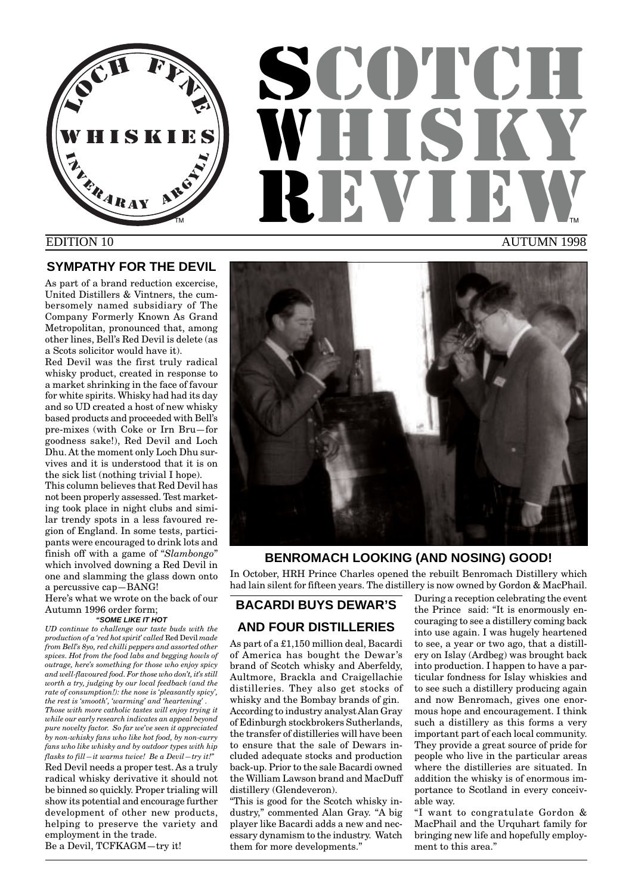

# **SCOTCH** WHISKY REVIEW TM **THE STATE OF STATE OF STATE OF STATE OF STATE OF STATE OF STATE OF STATE OF STATE OF STATE OF STATE OF STA**

#### EDITION 10

#### AUTUMN 1998

#### **SYMPATHY FOR THE DEVIL**

As part of a brand reduction excercise, United Distillers & Vintners, the cumbersomely named subsidiary of The Company Formerly Known As Grand Metropolitan, pronounced that, among other lines, Bell's Red Devil is delete (as a Scots solicitor would have it).

Red Devil was the first truly radical whisky product, created in response to a market shrinking in the face of favour for white spirits. Whisky had had its day and so UD created a host of new whisky based products and proceeded with Bell's pre-mixes (with Coke or Irn Bru—for goodness sake!), Red Devil and Loch Dhu. At the moment only Loch Dhu survives and it is understood that it is on the sick list (nothing trivial I hope).

This column believes that Red Devil has not been properly assessed. Test marketing took place in night clubs and similar trendy spots in a less favoured region of England. In some tests, participants were encouraged to drink lots and finish off with a game of "*Slambongo*" which involved downing a Red Devil in one and slamming the glass down onto a percussive cap—BANG!

Here's what we wrote on the back of our Autumn 1996 order form;

*UD continue to challenge our taste buds with the production of a 'red hot spirit' called* Red Devil *made from Bell's 8yo, red chilli peppers and assorted other spices. Hot from the food labs and begging howls of outrage, here's something for those who enjoy spicy and well-flavoured food. For those who don't, it's still worth a try, judging by our local feedback (and the rate of consumption!): the nose is 'pleasantly spicy', the rest is 'smooth', 'warming' and 'heartening' . Those with more catholic tastes will enjoy trying it while our early research indicates an appeal beyond pure novelty factor. So far we've seen it appreciated by non-whisky fans who like hot food, by non-curry fans who like whisky and by outdoor types with hip flasks to fill—it warms twice! Be a Devil—try it!"* Red Devil needs a proper test. As a truly radical whisky derivative it should not be binned so quickly. Proper trialing will show its potential and encourage further development of other new products, helping to preserve the variety and employment in the trade.

**BACARDI BUYS DEWAR'S AND FOUR DISTILLERIES** As part of a £1,150 million deal, Bacardi of America has bought the Dewar's brand of Scotch whisky and Aberfeldy, Aultmore, Brackla and Craigellachie distilleries. They also get stocks of **"SOME LIKE IT HOT**

the transfer of distilleries will have been to ensure that the sale of Dewars included adequate stocks and production back-up. Prior to the sale Bacardi owned the William Lawson brand and MacDuff distillery (Glendeveron).

"This is good for the Scotch whisky industry," commented Alan Gray. "A big player like Bacardi adds a new and necessary dynamism to the industry. Watch them for more developments."

During a reception celebrating the event the Prince said: "It is enormously encouraging to see a distillery coming back into use again. I was hugely heartened to see, a year or two ago, that a distillery on Islay (Ardbeg) was brought back into production. I happen to have a particular fondness for Islay whiskies and to see such a distillery producing again and now Benromach, gives one enormous hope and encouragement. I think such a distillery as this forms a very important part of each local community. They provide a great source of pride for people who live in the particular areas where the distilleries are situated. In addition the whisky is of enormous importance to Scotland in every conceivable way.

"I want to congratulate Gordon & MacPhail and the Urquhart family for bringing new life and hopefully employment to this area."

Be a Devil, TCFKAGM—try it!



#### **BENROMACH LOOKING (AND NOSING) GOOD!**

In October, HRH Prince Charles opened the rebuilt Benromach Distillery which had lain silent for fifteen years. The distillery is now owned by Gordon & MacPhail.

whisky and the Bombay brands of gin. According to industry analyst Alan Gray of Edinburgh stockbrokers Sutherlands,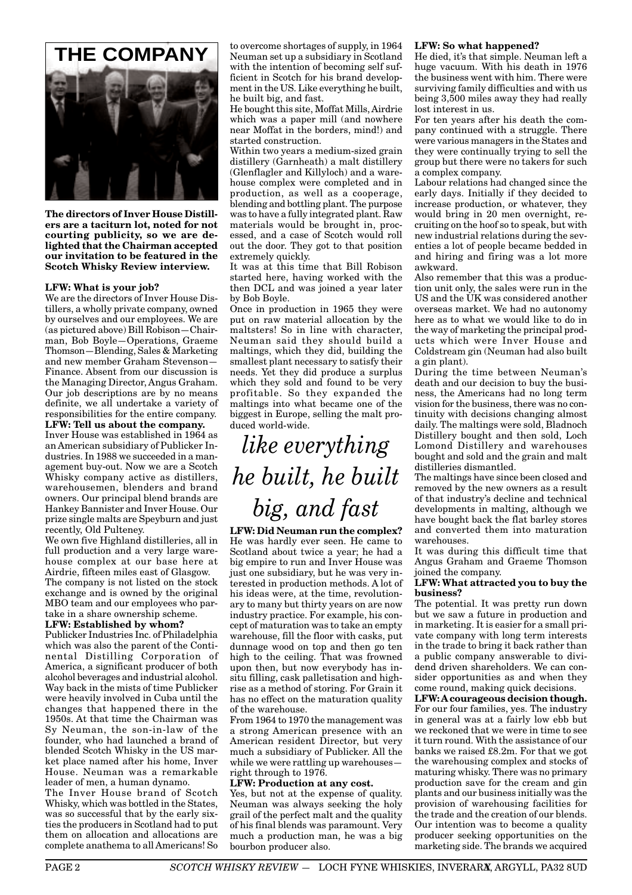

**The directors of Inver House Distillers are a taciturn lot, noted for not courting publicity, so we are delighted that the Chairman accepted our invitation to be featured in the Scotch Whisky Review interview.**

#### **LFW: What is your job?**

We are the directors of Inver House Distillers, a wholly private company, owned by ourselves and our employees. We are (as pictured above) Bill Robison—Chairman, Bob Boyle—Operations, Graeme Thomson—Blending, Sales & Marketing and new member Graham Stevenson— Finance. Absent from our discussion is the Managing Director, Angus Graham. Our job descriptions are by no means definite, we all undertake a variety of responsibilities for the entire company. **LFW: Tell us about the company.**

Inver House was established in 1964 as an American subsidiary of Publicker Industries. In 1988 we succeeded in a management buy-out. Now we are a Scotch Whisky company active as distillers, warehousemen, blenders and brand owners. Our principal blend brands are Hankey Bannister and Inver House. Our prize single malts are Speyburn and just recently, Old Pulteney.

We own five Highland distilleries, all in full production and a very large warehouse complex at our base here at Airdrie, fifteen miles east of Glasgow. The company is not listed on the stock exchange and is owned by the original MBO team and our employees who partake in a share ownership scheme.

#### **LFW: Established by whom?**

Publicker Industries Inc. of Philadelphia which was also the parent of the Continental Distilling Corporation of America, a significant producer of both alcohol beverages and industrial alcohol. Way back in the mists of time Publicker were heavily involved in Cuba until the changes that happened there in the 1950s. At that time the Chairman was Sy Neuman, the son-in-law of the founder, who had launched a brand of blended Scotch Whisky in the US market place named after his home, Inver House. Neuman was a remarkable leader of men, a human dynamo.

The Inver House brand of Scotch Whisky, which was bottled in the States, was so successful that by the early sixties the producers in Scotland had to put them on allocation and allocations are complete anathema to all Americans! So

**THE COMPANY** to overcome shortages of supply, in 1964 Neuman set up a subsidiary in Scotland with the intention of becoming self sufficient in Scotch for his brand development in the US. Like everything he built, he built big, and fast.

He bought this site, Moffat Mills, Airdrie which was a paper mill (and nowhere near Moffat in the borders, mind!) and started construction.

Within two years a medium-sized grain distillery (Garnheath) a malt distillery (Glenflagler and Killyloch) and a warehouse complex were completed and in production, as well as a cooperage, blending and bottling plant. The purpose was to have a fully integrated plant. Raw materials would be brought in, processed, and a case of Scotch would roll out the door. They got to that position extremely quickly.

It was at this time that Bill Robison started here, having worked with the then DCL and was joined a year later by Bob Boyle.

Once in production in 1965 they were put on raw material allocation by the maltsters! So in line with character, Neuman said they should build a maltings, which they did, building the smallest plant necessary to satisfy their needs. Yet they did produce a surplus which they sold and found to be very profitable. So they expanded the maltings into what became one of the biggest in Europe, selling the malt produced world-wide.

# *like everything he built, he built big, and fast*

**LFW: Did Neuman run the complex?** He was hardly ever seen. He came to Scotland about twice a year; he had a big empire to run and Inver House was just one subsidiary, but he was very interested in production methods. A lot of his ideas were, at the time, revolutionary to many but thirty years on are now industry practice. For example, his concept of maturation was to take an empty warehouse, fill the floor with casks, put dunnage wood on top and then go ten high to the ceiling. That was frowned upon then, but now everybody has insitu filling, cask palletisation and highrise as a method of storing. For Grain it has no effect on the maturation quality of the warehouse.

From 1964 to 1970 the management was a strong American presence with an American resident Director, but very much a subsidiary of Publicker. All the while we were rattling up warehouses right through to 1976.

#### **LFW: Production at any cost.**

Yes, but not at the expense of quality. Neuman was always seeking the holy grail of the perfect malt and the quality of his final blends was paramount. Very much a production man, he was a big bourbon producer also.

#### **LFW: So what happened?**

He died, it's that simple. Neuman left a huge vacuum. With his death in 1976 the business went with him. There were surviving family difficulties and with us being 3,500 miles away they had really lost interest in us.

For ten years after his death the company continued with a struggle. There were various managers in the States and they were continually trying to sell the group but there were no takers for such a complex company.

Labour relations had changed since the early days. Initially if they decided to increase production, or whatever, they would bring in 20 men overnight, recruiting on the hoof so to speak, but with new industrial relations during the seventies a lot of people became bedded in and hiring and firing was a lot more awkward.

Also remember that this was a production unit only, the sales were run in the US and the UK was considered another overseas market. We had no autonomy here as to what we would like to do in the way of marketing the principal products which were Inver House and Coldstream gin (Neuman had also built a gin plant).

During the time between Neuman's death and our decision to buy the business, the Americans had no long term vision for the business, there was no continuity with decisions changing almost daily. The maltings were sold, Bladnoch Distillery bought and then sold, Loch Lomond Distillery and warehouses bought and sold and the grain and malt distilleries dismantled.

The maltings have since been closed and removed by the new owners as a result of that industry's decline and technical developments in malting, although we have bought back the flat barley stores and converted them into maturation warehouses.

It was during this difficult time that Angus Graham and Graeme Thomson joined the company.

#### **LFW: What attracted you to buy the business?**

The potential. It was pretty run down but we saw a future in production and in marketing. It is easier for a small private company with long term interests in the trade to bring it back rather than a public company answerable to dividend driven shareholders. We can consider opportunities as and when they come round, making quick decisions.

**LFW: A courageous decision though.** For our four families, yes. The industry in general was at a fairly low ebb but we reckoned that we were in time to see it turn round. With the assistance of our banks we raised £8.2m. For that we got the warehousing complex and stocks of maturing whisky. There was no primary production save for the cream and gin plants and our business initially was the provision of warehousing facilities for the trade and the creation of our blends. Our intention was to become a quality producer seeking opportunities on the marketing side. The brands we acquired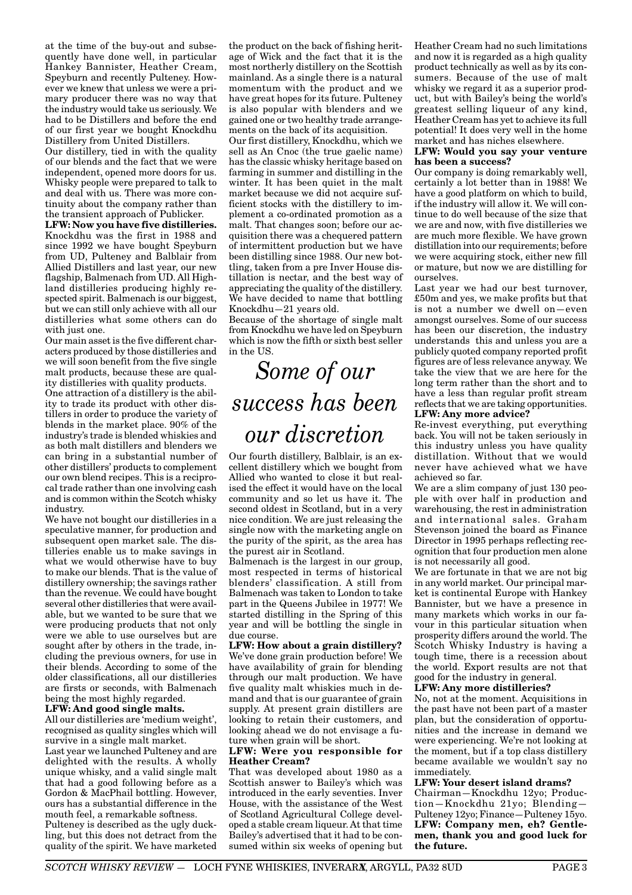at the time of the buy-out and subsequently have done well, in particular Hankey Bannister, Heather Cream, Speyburn and recently Pulteney. However we knew that unless we were a primary producer there was no way that the industry would take us seriously. We had to be Distillers and before the end of our first year we bought Knockdhu Distillery from United Distillers.

Our distillery, tied in with the quality of our blends and the fact that we were independent, opened more doors for us. Whisky people were prepared to talk to and deal with us. There was more continuity about the company rather than the transient approach of Publicker.

**LFW: Now you have five distilleries.** Knockdhu was the first in 1988 and since 1992 we have bought Speyburn from UD, Pulteney and Balblair from Allied Distillers and last year, our new flagship, Balmenach from UD. All Highland distilleries producing highly respected spirit. Balmenach is our biggest, but we can still only achieve with all our distilleries what some others can do with just one.

Our main asset is the five different characters produced by those distilleries and we will soon benefit from the five single malt products, because these are quality distilleries with quality products.

One attraction of a distillery is the ability to trade its product with other distillers in order to produce the variety of blends in the market place. 90% of the industry's trade is blended whiskies and as both malt distillers and blenders we can bring in a substantial number of other distillers' products to complement our own blend recipes. This is a reciprocal trade rather than one involving cash and is common within the Scotch whisky industry.

We have not bought our distilleries in a speculative manner, for production and subsequent open market sale. The distilleries enable us to make savings in what we would otherwise have to buy to make our blends. That is the value of distillery ownership; the savings rather than the revenue. We could have bought several other distilleries that were available, but we wanted to be sure that we were producing products that not only were we able to use ourselves but are sought after by others in the trade, including the previous owners, for use in their blends. According to some of the older classifications, all our distilleries are firsts or seconds, with Balmenach being the most highly regarded.

#### **LFW: And good single malts.** All our distilleries are 'medium weight', recognised as quality singles which will

survive in a single malt market. Last year we launched Pulteney and are delighted with the results. A wholly unique whisky, and a valid single malt that had a good following before as a Gordon & MacPhail bottling. However, ours has a substantial difference in the mouth feel, a remarkable softness. Pulteney is described as the ugly duckling, but this does not detract from the quality of the spirit. We have marketed

the product on the back of fishing heritage of Wick and the fact that it is the most northerly distillery on the Scottish mainland. As a single there is a natural momentum with the product and we have great hopes for its future. Pulteney is also popular with blenders and we gained one or two healthy trade arrangements on the back of its acquisition.

Our first distillery, Knockdhu, which we sell as An Cnoc (the true gaelic name) has the classic whisky heritage based on farming in summer and distilling in the winter. It has been quiet in the malt market because we did not acquire sufficient stocks with the distillery to implement a co-ordinated promotion as a malt. That changes soon; before our acquisition there was a chequered pattern of intermittent production but we have been distilling since 1988. Our new bottling, taken from a pre Inver House distillation is nectar, and the best way of appreciating the quality of the distillery. We have decided to name that bottling Knockdhu—21 years old.

Because of the shortage of single malt from Knockdhu we have led on Speyburn which is now the fifth or sixth best seller in the US.

## *Some of our success has been our discretion*

Our fourth distillery, Balblair, is an excellent distillery which we bought from Allied who wanted to close it but realised the effect it would have on the local community and so let us have it. The second oldest in Scotland, but in a very nice condition. We are just releasing the single now with the marketing angle on the purity of the spirit, as the area has the purest air in Scotland.

Balmenach is the largest in our group, most respected in terms of historical blenders' classification. A still from Balmenach was taken to London to take part in the Queens Jubilee in 1977! We started distilling in the Spring of this year and will be bottling the single in due course.

**LFW: How about a grain distillery?** We've done grain production before! We have availability of grain for blending through our malt production. We have five quality malt whiskies much in demand and that is our guarantee of grain supply. At present grain distillers are looking to retain their customers, and looking ahead we do not envisage a future when grain will be short.

#### **LFW: Were you responsible for Heather Cream?**

That was developed about 1980 as a Scottish answer to Bailey's which was introduced in the early seventies. Inver House, with the assistance of the West of Scotland Agricultural College developed a stable cream liqueur. At that time Bailey's advertised that it had to be consumed within six weeks of opening but Heather Cream had no such limitations and now it is regarded as a high quality product technically as well as by its consumers. Because of the use of malt whisky we regard it as a superior product, but with Bailey's being the world's greatest selling liqueur of any kind, Heather Cream has yet to achieve its full potential! It does very well in the home market and has niches elsewhere.

#### **LFW: Would you say your venture has been a success?**

Our company is doing remarkably well, certainly a lot better than in 1988! We have a good platform on which to build, if the industry will allow it. We will continue to do well because of the size that we are and now, with five distilleries we are much more flexible. We have grown distillation into our requirements; before we were acquiring stock, either new fill or mature, but now we are distilling for ourselves.

Last year we had our best turnover, £50m and yes, we make profits but that is not a number we dwell on—even amongst ourselves. Some of our success has been our discretion, the industry understands this and unless you are a publicly quoted company reported profit figures are of less relevance anyway. We take the view that we are here for the long term rather than the short and to have a less than regular profit stream reflects that we are taking opportunities. **LFW: Any more advice?**

Re-invest everything, put everything back. You will not be taken seriously in this industry unless you have quality distillation. Without that we would never have achieved what we have achieved so far.

We are a slim company of just 130 people with over half in production and warehousing, the rest in administration and international sales. Graham Stevenson joined the board as Finance Director in 1995 perhaps reflecting recognition that four production men alone is not necessarily all good.

We are fortunate in that we are not big in any world market. Our principal market is continental Europe with Hankey Bannister, but we have a presence in many markets which works in our favour in this particular situation when prosperity differs around the world. The Scotch Whisky Industry is having a tough time, there is a recession about the world. Export results are not that good for the industry in general.

#### **LFW: Any more distilleries?**

No, not at the moment. Acquisitions in the past have not been part of a master plan, but the consideration of opportunities and the increase in demand we were experiencing. We're not looking at the moment, but if a top class distillery became available we wouldn't say no immediately.

#### **LFW: Your desert island drams?**

Chairman—Knockdhu 12yo; Production—Knockdhu 21yo; Blending— Pulteney 12yo; Finance—Pulteney 15yo. **LFW: Company men, eh? Gentlemen, thank you and good luck for the future.**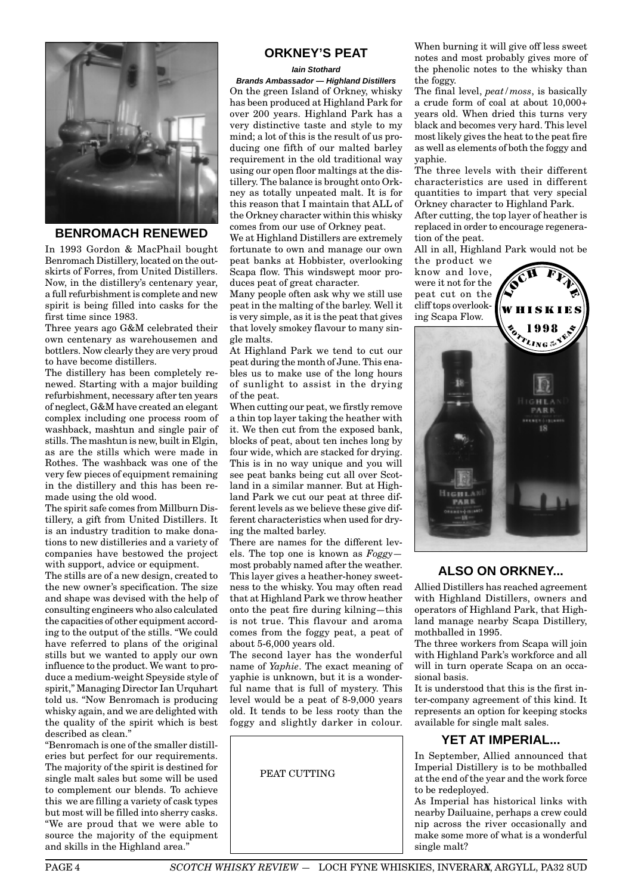

#### **BENROMACH RENEWED**

In 1993 Gordon & MacPhail bought Benromach Distillery, located on the outskirts of Forres, from United Distillers. Now, in the distillery's centenary year, a full refurbishment is complete and new spirit is being filled into casks for the first time since 1983.

Three years ago G&M celebrated their own centenary as warehousemen and bottlers. Now clearly they are very proud to have become distillers.

The distillery has been completely renewed. Starting with a major building refurbishment, necessary after ten years of neglect, G&M have created an elegant complex including one process room of washback, mashtun and single pair of stills. The mashtun is new, built in Elgin, as are the stills which were made in Rothes. The washback was one of the very few pieces of equipment remaining in the distillery and this has been remade using the old wood.

The spirit safe comes from Millburn Distillery, a gift from United Distillers. It is an industry tradition to make donations to new distilleries and a variety of companies have bestowed the project with support, advice or equipment.

The stills are of a new design, created to the new owner's specification. The size and shape was devised with the help of consulting engineers who also calculated the capacities of other equipment according to the output of the stills. "We could have referred to plans of the original stills but we wanted to apply our own influence to the product. We want to produce a medium-weight Speyside style of spirit," Managing Director Ian Urquhart told us. "Now Benromach is producing whisky again, and we are delighted with the quality of the spirit which is best described as clean."

"Benromach is one of the smaller distilleries but perfect for our requirements. The majority of the spirit is destined for single malt sales but some will be used to complement our blends. To achieve this we are filling a variety of cask types but most will be filled into sherry casks. "We are proud that we were able to source the majority of the equipment and skills in the Highland area."

#### **ORKNEY'S PEAT**

#### **Iain Stothard**

**Brands Ambassador — Highland Distillers** On the green Island of Orkney, whisky has been produced at Highland Park for over 200 years. Highland Park has a very distinctive taste and style to my mind; a lot of this is the result of us producing one fifth of our malted barley requirement in the old traditional way using our open floor maltings at the distillery. The balance is brought onto Orkney as totally unpeated malt. It is for this reason that I maintain that ALL of the Orkney character within this whisky comes from our use of Orkney peat.

We at Highland Distillers are extremely fortunate to own and manage our own peat banks at Hobbister, overlooking Scapa flow. This windswept moor produces peat of great character.

Many people often ask why we still use peat in the malting of the barley. Well it is very simple, as it is the peat that gives that lovely smokey flavour to many single malts.

At Highland Park we tend to cut our peat during the month of June. This enables us to make use of the long hours of sunlight to assist in the drying of the peat.

When cutting our peat, we firstly remove a thin top layer taking the heather with it. We then cut from the exposed bank, blocks of peat, about ten inches long by four wide, which are stacked for drying. This is in no way unique and you will see peat banks being cut all over Scotland in a similar manner. But at Highland Park we cut our peat at three different levels as we believe these give different characteristics when used for drying the malted barley.

There are names for the different levels. The top one is known as *Foggy* most probably named after the weather. This layer gives a heather-honey sweetness to the whisky. You may often read that at Highland Park we throw heather onto the peat fire during kilning—this is not true. This flavour and aroma comes from the foggy peat, a peat of about 5-6,000 years old.

The second layer has the wonderful name of *Yaphie*. The exact meaning of yaphie is unknown, but it is a wonderful name that is full of mystery. This level would be a peat of 8-9,000 years old. It tends to be less rooty than the foggy and slightly darker in colour.

PEAT CUTTING

When burning it will give off less sweet notes and most probably gives more of the phenolic notes to the whisky than the foggy.

The final level, *peat/moss*, is basically a crude form of coal at about 10,000+ years old. When dried this turns very black and becomes very hard. This level most likely gives the heat to the peat fire as well as elements of both the foggy and yaphie.

The three levels with their different characteristics are used in different quantities to impart that very special Orkney character to Highland Park.

After cutting, the top layer of heather is replaced in order to encourage regeneration of the peat.

All in all, Highland Park would not be the product we

know and love, were it not for the ing Scapa Flow.



### **ALSO ON ORKNEY...**

Allied Distillers has reached agreement with Highland Distillers, owners and operators of Highland Park, that Highland manage nearby Scapa Distillery, mothballed in 1995.

The three workers from Scapa will join with Highland Park's workforce and all will in turn operate Scapa on an occasional basis.

It is understood that this is the first inter-company agreement of this kind. It represents an option for keeping stocks available for single malt sales.

### **YET AT IMPERIAL...**

In September, Allied announced that Imperial Distillery is to be mothballed at the end of the year and the work force to be redeployed.

As Imperial has historical links with nearby Dailuaine, perhaps a crew could nip across the river occasionally and make some more of what is a wonderful single malt?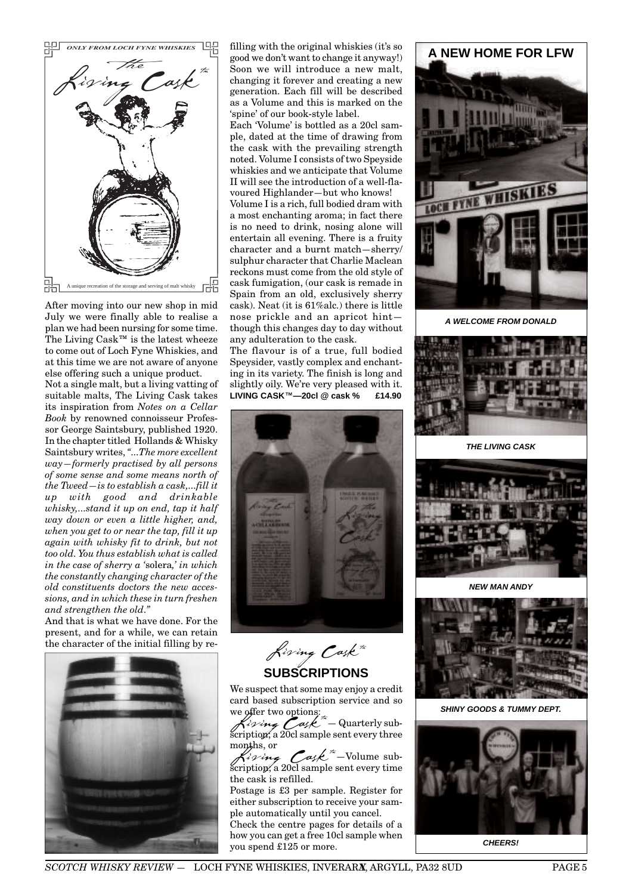

After moving into our new shop in mid July we were finally able to realise a plan we had been nursing for some time. The Living Cask™ is the latest wheeze to come out of Loch Fyne Whiskies, and at this time we are not aware of anyone else offering such a unique product.

Not a single malt, but a living vatting of suitable malts, The Living Cask takes its inspiration from *Notes on a Cellar Book* by renowned connoisseur Professor George Saintsbury, published 1920. In the chapter titled Hollands & Whisky Saintsbury writes, *"...The more excellent way—formerly practised by all persons of some sense and some means north of the Tweed—is to establish a cask,...fill it up with good and drinkable whisky,...stand it up on end, tap it half way down or even a little higher, and, when you get to or near the tap, fill it up again with whisky fit to drink, but not too old. You thus establish what is called in the case of sherry a '*solera*,' in which the constantly changing character of the old constituents doctors the new accessions, and in which these in turn freshen and strengthen the old."*

And that is what we have done. For the present, and for a while, we can retain the character of the initial filling by re-



filling with the original whiskies (it's so good we don't want to change it anyway!) Soon we will introduce a new malt, changing it forever and creating a new generation. Each fill will be described as a Volume and this is marked on the 'spine' of our book-style label. Each 'Volume' is bottled as a 20cl sample, dated at the time of drawing from

the cask with the prevailing strength noted. Volume I consists of two Speyside whiskies and we anticipate that Volume II will see the introduction of a well-flavoured Highlander—but who knows!

Volume I is a rich, full bodied dram with a most enchanting aroma; in fact there is no need to drink, nosing alone will entertain all evening. There is a fruity character and a burnt match—sherry/ sulphur character that Charlie Maclean reckons must come from the old style of cask fumigation, (our cask is remade in Spain from an old, exclusively sherry cask). Neat (it is 61%alc.) there is little nose prickle and an apricot hint though this changes day to day without any adulteration to the cask.

The flavour is of a true, full bodied Speysider, vastly complex and enchanting in its variety. The finish is long and slightly oily. We're very pleased with it. **LIVING CASK**™**—20cl @ cask % £14.90**



Living cask™ **SUBSCRIPTIONS**

We suspect that some may enjoy a credit card based subscription service and so

we offer two options:<br>  $\mu$  and  $\mu$  and  $\mu$  = Quarterly sub-<br>
scription, a 20cl sample sent every three<br>
months, or scription; a 20cl sample sent every three

scription, a 20ci sample sent every time<br>months, or<br>scription, a 20cl sample sent every time<br>the cask is refilled. scription, a 20cl sample sent every time the cask is refilled.

Postage is £3 per sample. Register for either subscription to receive your sample automatically until you cancel. Check the centre pages for details of a how you can get a free 10cl sample when you spend £125 or more.



**A WELCOME FROM DONALD**



**THE LIVING CASK**



**NEW MAN ANDY**



**SHINY GOODS & TUMMY DEPT.**

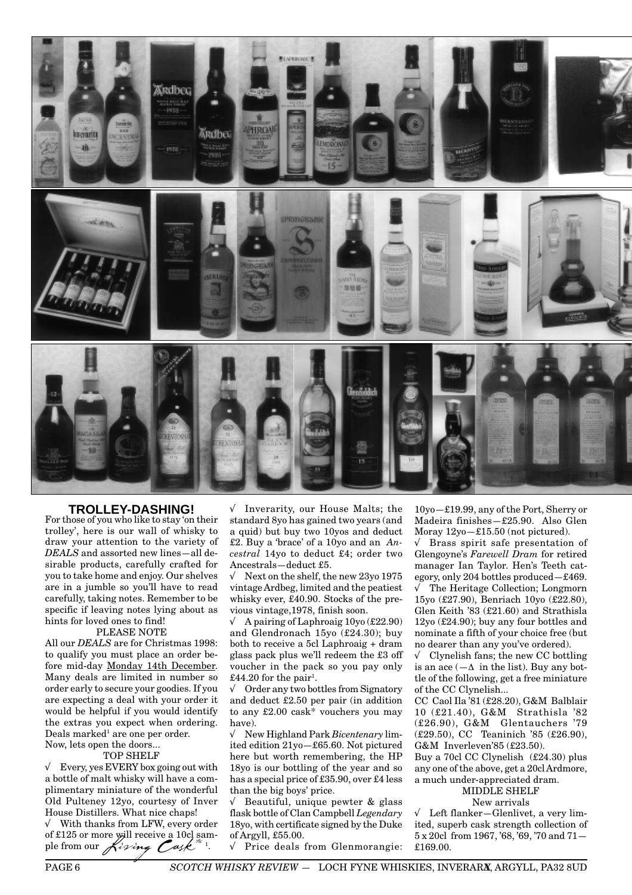

#### **TROLLEY-DASHING!**

For those of you who like to stay 'on their trolley', here is our wall of whisky to draw your attention to the variety of *DEALS* and assorted new lines—all desirable products, carefully crafted for you to take home and enjoy. Our shelves are in a jumble so you'll have to read carefully, taking notes. Remember to be specific if leaving notes lying about as hints for loved ones to find!

#### PLEASE NOTE

All our *DEALS* are for Christmas 1998: to qualify you must place an order before mid-day Monday 14th December. Many deals are limited in number so order early to secure your goodies. If you are expecting a deal with your order it would be helpful if you would identify the extras you expect when ordering.  $\rm{Deals\ marked^1}$  are one per order. Now, lets open the doors...

#### TOP SHELF

√ Every, yes EVERY box going out with a bottle of malt whisky will have a complimentary miniature of the wonderful Old Pulteney 12yo, courtesy of Inver House Distillers. What nice chaps! With thanks from LFW, every order of £125 or more will receive a 10cl sample from our  $\pi^{2}$ <br>ple from our  $\pi^{2}$ <br>PAGE 6 SCOTCH .

√ Inverarity, our House Malts; the standard 8yo has gained two years (and a quid) but buy two 10yos and deduct £2. Buy a 'brace' of a 10yo and an *Ancestral* 14yo to deduct £4; order two Ancestrals—deduct £5.

√ Next on the shelf, the new 23yo 1975 vintage Ardbeg, limited and the peatiest whisky ever, £40.90. Stocks of the previous vintage,1978, finish soon.

√ A pairing of Laphroaig 10yo (£22.90) and Glendronach 15yo (£24.30); buy both to receive a 5cl Laphroaig + dram glass pack plus we'll redeem the £3 off voucher in the pack so you pay only £44.20 for the pair<sup>1</sup>.

√ Order any two bottles from Signatory and deduct £2.50 per pair (in addition to any £2.00 cask\* vouchers you may have).

√ New Highland Park *Bicentenary* limited edition 21yo—£65.60. Not pictured here but worth remembering, the HP 18yo is our bottling of the year and so has a special price of £35.90, over £4 less than the big boys' price.

√ Beautiful, unique pewter & glass flask bottle of Clan Campbell *Legendary* 18yo, with certificate signed by the Duke of Argyll, £55.00.

Price deals from Glenmorangie:

10yo—£19.99, any of the Port, Sherry or Madeira finishes—£25.90. Also Glen Moray 12yo—£15.50 (not pictured).

√ Brass spirit safe presentation of Glengoyne's *Farewell Dram* for retired manager Ian Taylor. Hen's Teeth category, only 204 bottles produced—£469. √ The Heritage Collection; Longmorn 15yo (£27.90), Benriach 10yo (£22.80), Glen Keith '83 (£21.60) and Strathisla 12yo (£24.90); buy any four bottles and nominate a fifth of your choice free (but no dearer than any you've ordered).

 $\sqrt{\phantom{a}}$  Clynelish fans; the new CC bottling is an ace  $(-\Delta$  in the list). Buy any bottle of the following, get a free miniature of the CC Clynelish...

CC Caol Ila '81 (£28.20), G&M Balblair 10 (£21.40), G&M Strathisla '82 (£26.90), G&M Glentauchers '79 (£29.50), CC Teaninich '85 (£26.90), G&M Inverleven'85 (£23.50).

Buy a 70cl CC Clynelish (£24.30) plus any one of the above, get a 20cl Ardmore, a much under-appreciated dram.

#### MIDDLE SHELF

New arrivals √ Left flanker—Glenlivet, a very limited, superb cask strength collection of 5 x 20cl from 1967, '68, '69, '70 and 71— £169.00.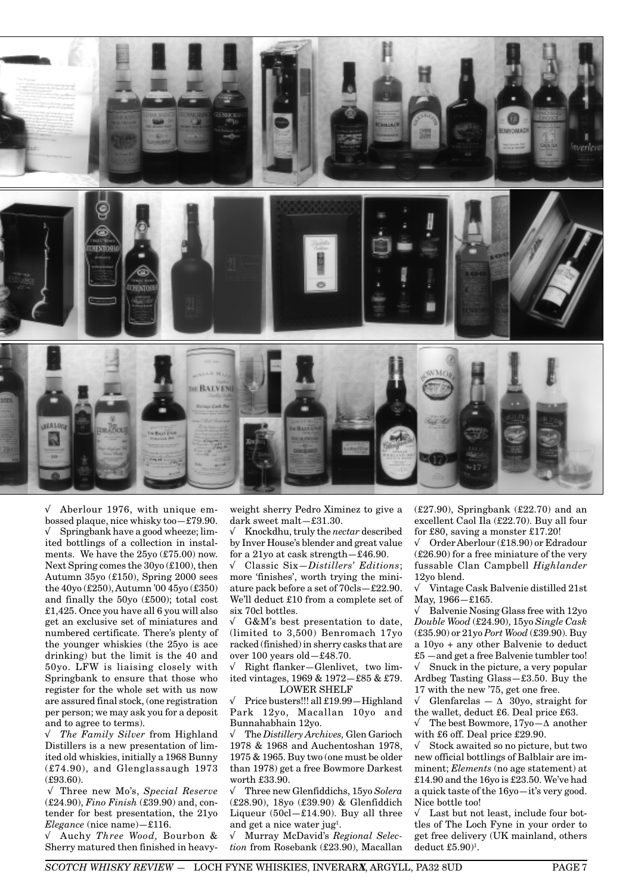

√ Aberlour 1976, with unique embossed plaque, nice whisky too—£79.90. √ Springbank have a good wheeze; limited bottlings of a collection in instalments. We have the 25yo (£75.00) now. Next Spring comes the 30yo (£100), then Autumn 35yo (£150), Spring 2000 sees the 40yo (£250), Autumn '00 45yo (£350) and finally the 50yo (£500); total cost £1,425. Once you have all 6 you will also get an exclusive set of miniatures and numbered certificate. There's plenty of the younger whiskies (the 25yo is ace drinking) but the limit is the 40 and 50yo. LFW is liaising closely with Springbank to ensure that those who register for the whole set with us now are assured final stock, (one registration per person; we may ask you for a deposit and to agree to terms).

√ *The Family Silver* from Highland Distillers is a new presentation of limited old whiskies, initially a 1968 Bunny (£74.90), and Glenglassaugh 1973  $(693.60)$ 

√ Three new Mo's, *Special Reserve* (£24.90), *Fino Finish* (£39.90) and, contender for best presentation, the 21yo *Elegance* (nice name)—£116.

√ Auchy *Three Wood,* Bourbon & Sherry matured then finished in heavyweight sherry Pedro Ximinez to give a dark sweet malt—£31.30.

√ Knockdhu, truly the *nectar* described by Inver House's blender and great value for a 21yo at cask strength—£46.90.

√ Classic Six—*Distillers' Editions*; more 'finishes', worth trying the miniature pack before a set of 70cls—£22.90. We'll deduct £10 from a complete set of six 70cl bottles.

√ G&M's best presentation to date, (limited to 3,500) Benromach 17yo racked (finished) in sherry casks that are over 100 years old—£48.70.

√ Right flanker—Glenlivet, two limited vintages, 1969 & 1972—£85 & £79. LOWER SHELF

√ Price busters!!! all £19.99—Highland Park 12yo, Macallan 10yo and Bunnahabhain 12yo.

√ The *Distillery Archives,* Glen Garioch 1978 & 1968 and Auchentoshan 1978, 1975 & 1965. Buy two (one must be older than 1978) get a free Bowmore Darkest worth £33.90.

√ Three new Glenfiddichs, 15yo *Solera* (£28.90), 18yo (£39.90) & Glenfiddich Liqueur (50cl—£14.90). Buy all three and get a nice water jug<sup>1</sup>.

√ Murray McDavid's *Regional Selection* from Rosebank (£23.90), Macallan

 $(E27.90)$ , Springbank  $(E22.70)$  and an excellent Caol Ila (£22.70). Buy all four for £80, saving a monster £17.20!

√ Order Aberlour (£18.90) or Edradour (£26.90) for a free miniature of the very fussable Clan Campbell *Highlander* 12yo blend.

√ Vintage Cask Balvenie distilled 21st May, 1966—£165.

√ Balvenie Nosing Glass free with 12yo *Double Wood* (£24.90), 15yo *Single Cask* (£35.90) or 21yo *Port Wood* (£39.90). Buy a 10yo + any other Balvenie to deduct £5 —and get a free Balvenie tumbler too! √ Snuck in the picture, a very popular Ardbeg Tasting Glass—£3.50. Buy the 17 with the new '75, get one free.

 $\sqrt{\phantom{a}}$  Glenfarclas  $-\Delta$  30yo, straight for the wallet, deduct £6. Deal price £63.

√ The best Bowmore, 17yo—∆ another with £6 off. Deal price £29.90.

√ Stock awaited so no picture, but two new official bottlings of Balblair are imminent; *Elements* (no age statement) at £14.90 and the 16yo is £23.50. We've had a quick taste of the 16yo—it's very good. Nice bottle too!

√ Last but not least, include four bottles of The Loch Fyne in your order to get free delivery (UK mainland, others deduct £5.90)<sup>1</sup>.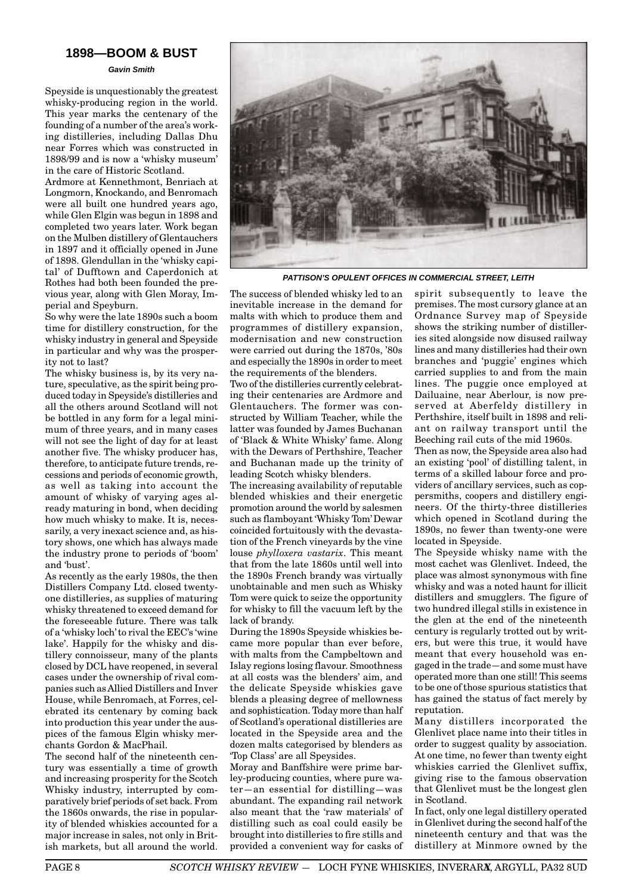#### **1898—BOOM & BUST**

**Gavin Smith**

Speyside is unquestionably the greatest whisky-producing region in the world. This year marks the centenary of the founding of a number of the area's working distilleries, including Dallas Dhu near Forres which was constructed in 1898/99 and is now a 'whisky museum' in the care of Historic Scotland.

Ardmore at Kennethmont, Benriach at Longmorn, Knockando, and Benromach were all built one hundred years ago, while Glen Elgin was begun in 1898 and completed two years later. Work began on the Mulben distillery of Glentauchers in 1897 and it officially opened in June of 1898. Glendullan in the 'whisky capital' of Dufftown and Caperdonich at Rothes had both been founded the previous year, along with Glen Moray, Imperial and Speyburn.

So why were the late 1890s such a boom time for distillery construction, for the whisky industry in general and Speyside in particular and why was the prosperity not to last?

The whisky business is, by its very nature, speculative, as the spirit being produced today in Speyside's distilleries and all the others around Scotland will not be bottled in any form for a legal minimum of three years, and in many cases will not see the light of day for at least another five. The whisky producer has, therefore, to anticipate future trends, recessions and periods of economic growth, as well as taking into account the amount of whisky of varying ages already maturing in bond, when deciding how much whisky to make. It is, necessarily, a very inexact science and, as history shows, one which has always made the industry prone to periods of 'boom' and 'bust'.

As recently as the early 1980s, the then Distillers Company Ltd. closed twentyone distilleries, as supplies of maturing whisky threatened to exceed demand for the foreseeable future. There was talk of a 'whisky loch' to rival the EEC's 'wine lake'. Happily for the whisky and distillery connoisseur, many of the plants closed by DCL have reopened, in several cases under the ownership of rival companies such as Allied Distillers and Inver House, while Benromach, at Forres, celebrated its centenary by coming back into production this year under the auspices of the famous Elgin whisky merchants Gordon & MacPhail.

The second half of the nineteenth century was essentially a time of growth and increasing prosperity for the Scotch Whisky industry, interrupted by comparatively brief periods of set back. From the 1860s onwards, the rise in popularity of blended whiskies accounted for a major increase in sales, not only in British markets, but all around the world.



**PATTISON'S OPULENT OFFICES IN COMMERCIAL STREET, LEITH**

The success of blended whisky led to an inevitable increase in the demand for malts with which to produce them and programmes of distillery expansion, modernisation and new construction were carried out during the 1870s, '80s and especially the 1890s in order to meet the requirements of the blenders.

Two of the distilleries currently celebrating their centenaries are Ardmore and Glentauchers. The former was constructed by William Teacher, while the latter was founded by James Buchanan of 'Black & White Whisky' fame. Along with the Dewars of Perthshire, Teacher and Buchanan made up the trinity of leading Scotch whisky blenders.

The increasing availability of reputable blended whiskies and their energetic promotion around the world by salesmen such as flamboyant 'Whisky Tom' Dewar coincided fortuitously with the devastation of the French vineyards by the vine louse *phylloxera vastarix*. This meant that from the late 1860s until well into the 1890s French brandy was virtually unobtainable and men such as Whisky Tom were quick to seize the opportunity for whisky to fill the vacuum left by the lack of brandy.

During the 1890s Speyside whiskies became more popular than ever before, with malts from the Campbeltown and Islay regions losing flavour. Smoothness at all costs was the blenders' aim, and the delicate Speyside whiskies gave blends a pleasing degree of mellowness and sophistication. Today more than half of Scotland's operational distilleries are located in the Speyside area and the dozen malts categorised by blenders as 'Top Class' are all Speysides.

Moray and Banffshire were prime barley-producing counties, where pure water—an essential for distilling—was abundant. The expanding rail network also meant that the 'raw materials' of distilling such as coal could easily be brought into distilleries to fire stills and provided a convenient way for casks of

spirit subsequently to leave the premises. The most cursory glance at an Ordnance Survey map of Speyside shows the striking number of distilleries sited alongside now disused railway lines and many distilleries had their own branches and 'puggie' engines which carried supplies to and from the main lines. The puggie once employed at Dailuaine, near Aberlour, is now preserved at Aberfeldy distillery in Perthshire, itself built in 1898 and reliant on railway transport until the Beeching rail cuts of the mid 1960s.

Then as now, the Speyside area also had an existing 'pool' of distilling talent, in terms of a skilled labour force and providers of ancillary services, such as coppersmiths, coopers and distillery engineers. Of the thirty-three distilleries which opened in Scotland during the 1890s, no fewer than twenty-one were located in Speyside.

The Speyside whisky name with the most cachet was Glenlivet. Indeed, the place was almost synonymous with fine whisky and was a noted haunt for illicit distillers and smugglers. The figure of two hundred illegal stills in existence in the glen at the end of the nineteenth century is regularly trotted out by writers, but were this true, it would have meant that every household was engaged in the trade—and some must have operated more than one still! This seems to be one of those spurious statistics that has gained the status of fact merely by reputation.

Many distillers incorporated the Glenlivet place name into their titles in order to suggest quality by association. At one time, no fewer than twenty eight whiskies carried the Glenlivet suffix, giving rise to the famous observation that Glenlivet must be the longest glen in Scotland.

In fact, only one legal distillery operated in Glenlivet during the second half of the nineteenth century and that was the distillery at Minmore owned by the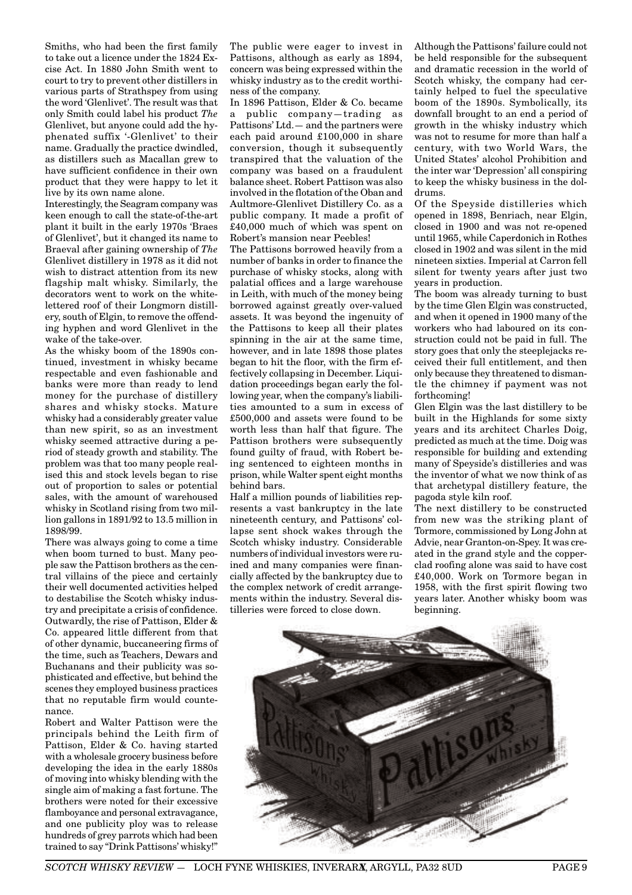Smiths, who had been the first family to take out a licence under the 1824 Excise Act. In 1880 John Smith went to court to try to prevent other distillers in various parts of Strathspey from using the word 'Glenlivet'. The result was that only Smith could label his product *The* Glenlivet, but anyone could add the hyphenated suffix '-Glenlivet' to their name. Gradually the practice dwindled, as distillers such as Macallan grew to have sufficient confidence in their own product that they were happy to let it live by its own name alone.

Interestingly, the Seagram company was keen enough to call the state-of-the-art plant it built in the early 1970s 'Braes of Glenlivet', but it changed its name to Braeval after gaining ownership of *The* Glenlivet distillery in 1978 as it did not wish to distract attention from its new flagship malt whisky. Similarly, the decorators went to work on the whitelettered roof of their Longmorn distillery, south of Elgin, to remove the offending hyphen and word Glenlivet in the wake of the take-over.

As the whisky boom of the 1890s continued, investment in whisky became respectable and even fashionable and banks were more than ready to lend money for the purchase of distillery shares and whisky stocks. Mature whisky had a considerably greater value than new spirit, so as an investment whisky seemed attractive during a period of steady growth and stability. The problem was that too many people realised this and stock levels began to rise out of proportion to sales or potential sales, with the amount of warehoused whisky in Scotland rising from two million gallons in 1891/92 to 13.5 million in 1898/99.

There was always going to come a time when boom turned to bust. Many people saw the Pattison brothers as the central villains of the piece and certainly their well documented activities helped to destabilise the Scotch whisky industry and precipitate a crisis of confidence. Outwardly, the rise of Pattison, Elder & Co. appeared little different from that of other dynamic, buccaneering firms of the time, such as Teachers, Dewars and Buchanans and their publicity was sophisticated and effective, but behind the scenes they employed business practices that no reputable firm would countenance.

Robert and Walter Pattison were the principals behind the Leith firm of Pattison, Elder & Co. having started with a wholesale grocery business before developing the idea in the early 1880s of moving into whisky blending with the single aim of making a fast fortune. The brothers were noted for their excessive flamboyance and personal extravagance, and one publicity ploy was to release hundreds of grey parrots which had been trained to say "Drink Pattisons' whisky!"

The public were eager to invest in Pattisons, although as early as 1894, concern was being expressed within the whisky industry as to the credit worthiness of the company.

In 1896 Pattison, Elder & Co. became a public company—trading as Pattisons' Ltd.— and the partners were each paid around £100,000 in share conversion, though it subsequently transpired that the valuation of the company was based on a fraudulent balance sheet. Robert Pattison was also involved in the flotation of the Oban and Aultmore-Glenlivet Distillery Co. as a public company. It made a profit of £40,000 much of which was spent on Robert's mansion near Peebles!

The Pattisons borrowed heavily from a number of banks in order to finance the purchase of whisky stocks, along with palatial offices and a large warehouse in Leith, with much of the money being borrowed against greatly over-valued assets. It was beyond the ingenuity of the Pattisons to keep all their plates spinning in the air at the same time, however, and in late 1898 those plates began to hit the floor, with the firm effectively collapsing in December. Liquidation proceedings began early the following year, when the company's liabilities amounted to a sum in excess of £500,000 and assets were found to be worth less than half that figure. The Pattison brothers were subsequently found guilty of fraud, with Robert being sentenced to eighteen months in prison, while Walter spent eight months behind bars.

Half a million pounds of liabilities represents a vast bankruptcy in the late nineteenth century, and Pattisons' collapse sent shock wakes through the Scotch whisky industry. Considerable numbers of individual investors were ruined and many companies were financially affected by the bankruptcy due to the complex network of credit arrangements within the industry. Several distilleries were forced to close down.

Although the Pattisons' failure could not be held responsible for the subsequent and dramatic recession in the world of Scotch whisky, the company had certainly helped to fuel the speculative boom of the 1890s. Symbolically, its downfall brought to an end a period of growth in the whisky industry which was not to resume for more than half a century, with two World Wars, the United States' alcohol Prohibition and the inter war 'Depression' all conspiring to keep the whisky business in the doldrums.

Of the Speyside distilleries which opened in 1898, Benriach, near Elgin, closed in 1900 and was not re-opened until 1965, while Caperdonich in Rothes closed in 1902 and was silent in the mid nineteen sixties. Imperial at Carron fell silent for twenty years after just two years in production.

The boom was already turning to bust by the time Glen Elgin was constructed, and when it opened in 1900 many of the workers who had laboured on its construction could not be paid in full. The story goes that only the steeplejacks received their full entitlement, and then only because they threatened to dismantle the chimney if payment was not forthcoming!

Glen Elgin was the last distillery to be built in the Highlands for some sixty years and its architect Charles Doig, predicted as much at the time. Doig was responsible for building and extending many of Speyside's distilleries and was the inventor of what we now think of as that archetypal distillery feature, the pagoda style kiln roof.

The next distillery to be constructed from new was the striking plant of Tormore, commissioned by Long John at Advie, near Granton-on-Spey. It was created in the grand style and the copperclad roofing alone was said to have cost £40,000. Work on Tormore began in 1958, with the first spirit flowing two years later. Another whisky boom was beginning.

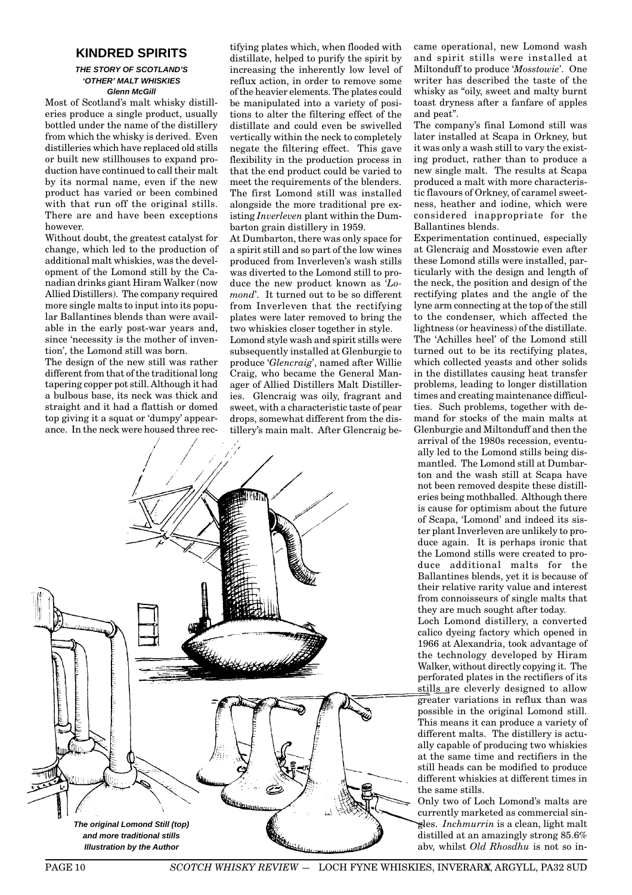#### **KINDRED SPIRITS**

#### **THE STORY OF SCOTLAND'S 'OTHER' MALT WHISKIES Glenn McGill**

Most of Scotland's malt whisky distilleries produce a single product, usually bottled under the name of the distillery from which the whisky is derived. Even distilleries which have replaced old stills or built new stillhouses to expand production have continued to call their malt by its normal name, even if the new product has varied or been combined with that run off the original stills. There are and have been exceptions however.

Without doubt, the greatest catalyst for change, which led to the production of additional malt whiskies, was the development of the Lomond still by the Canadian drinks giant Hiram Walker (now Allied Distillers). The company required more single malts to input into its popular Ballantines blends than were available in the early post-war years and, since 'necessity is the mother of invention', the Lomond still was born.

The design of the new still was rather different from that of the traditional long tapering copper pot still. Although it had a bulbous base, its neck was thick and straight and it had a flattish or domed top giving it a squat or 'dumpy' appearance. In the neck were housed three rectifying plates which, when flooded with distillate, helped to purify the spirit by increasing the inherently low level of reflux action, in order to remove some of the heavier elements. The plates could be manipulated into a variety of positions to alter the filtering effect of the distillate and could even be swivelled vertically within the neck to completely negate the filtering effect. This gave flexibility in the production process in that the end product could be varied to meet the requirements of the blenders. The first Lomond still was installed alongside the more traditional pre existing *Inverleven* plant within the Dumbarton grain distillery in 1959.

At Dumbarton, there was only space for a spirit still and so part of the low wines produced from Inverleven's wash stills was diverted to the Lomond still to produce the new product known as '*Lomond*'. It turned out to be so different from Inverleven that the rectifying plates were later removed to bring the two whiskies closer together in style. Lomond style wash and spirit stills were subsequently installed at Glenburgie to produce '*Glencraig*', named after Willie Craig, who became the General Manager of Allied Distillers Malt Distilleries. Glencraig was oily, fragrant and sweet, with a characteristic taste of pear drops, somewhat different from the distillery's main malt. After Glencraig be-



came operational, new Lomond wash and spirit stills were installed at Miltonduff to produce '*Mosstowie*'. One writer has described the taste of the whisky as "oily, sweet and malty burnt toast dryness after a fanfare of apples and peat".

The company's final Lomond still was later installed at Scapa in Orkney, but it was only a wash still to vary the existing product, rather than to produce a new single malt. The results at Scapa produced a malt with more characteristic flavours of Orkney, of caramel sweetness, heather and iodine, which were considered inappropriate for the Ballantines blends.

Experimentation continued, especially at Glencraig and Mosstowie even after these Lomond stills were installed, particularly with the design and length of the neck, the position and design of the rectifying plates and the angle of the lyne arm connecting at the top of the still to the condenser, which affected the lightness (or heaviness) of the distillate. The 'Achilles heel' of the Lomond still turned out to be its rectifying plates, which collected yeasts and other solids in the distillates causing heat transfer problems, leading to longer distillation times and creating maintenance difficulties. Such problems, together with demand for stocks of the main malts at Glenburgie and Miltonduff and then the arrival of the 1980s recession, eventually led to the Lomond stills being dismantled. The Lomond still at Dumbarton and the wash still at Scapa have not been removed despite these distilleries being mothballed. Although there is cause for optimism about the future of Scapa, 'Lomond' and indeed its sister plant Inverleven are unlikely to produce again. It is perhaps ironic that the Lomond stills were created to produce additional malts for the Ballantines blends, yet it is because of their relative rarity value and interest from connoisseurs of single malts that they are much sought after today. Loch Lomond distillery, a converted calico dyeing factory which opened in 1966 at Alexandria, took advantage of the technology developed by Hiram Walker, without directly copying it. The perforated plates in the rectifiers of its

stills are cleverly designed to allow greater variations in reflux than was possible in the original Lomond still. This means it can produce a variety of different malts. The distillery is actually capable of producing two whiskies at the same time and rectifiers in the still heads can be modified to produce different whiskies at different times in the same stills.

Only two of Loch Lomond's malts are currently marketed as commercial singles. *Inchmurrin* is a clean, light malt distilled at an amazingly strong 85.6% abv, whilst *Old Rhosdhu* is not so in-

PAGE 10 *SCOTCH WHISKY REVIEW* - LOCH FYNE WHISKIES, INVERARX, ARGYLL, PA32 8UD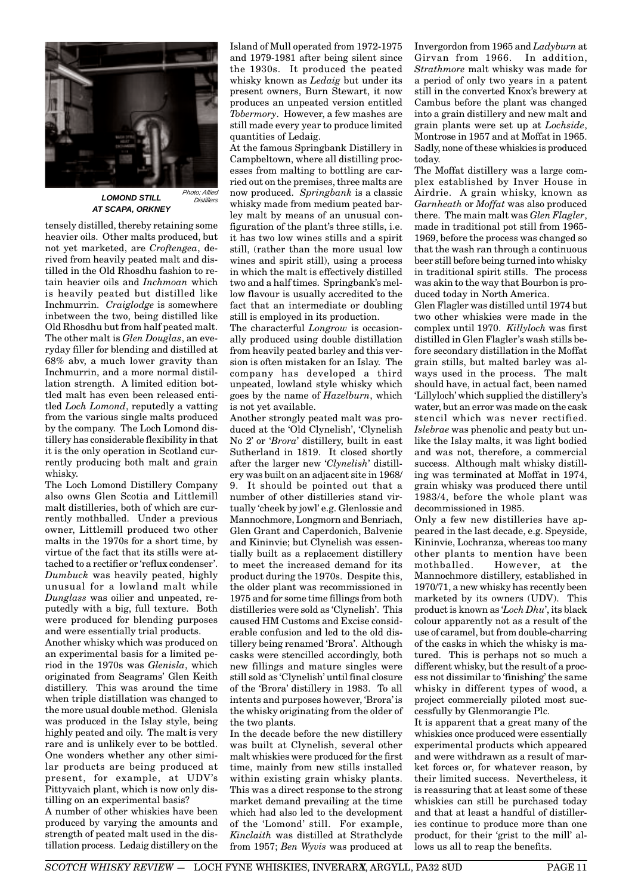

**LOMOND STILL AT SCAPA, ORKNEY** Distillers

tensely distilled, thereby retaining some heavier oils. Other malts produced, but not yet marketed, are *Croftengea*, derived from heavily peated malt and distilled in the Old Rhosdhu fashion to retain heavier oils and *Inchmoan* which is heavily peated but distilled like Inchmurrin. *Craiglodge* is somewhere inbetween the two, being distilled like Old Rhosdhu but from half peated malt. The other malt is *Glen Douglas*, an everyday filler for blending and distilled at 68% abv, a much lower gravity than Inchmurrin, and a more normal distillation strength. A limited edition bottled malt has even been released entitled *Loch Lomond*, reputedly a vatting from the various single malts produced by the company. The Loch Lomond distillery has considerable flexibility in that it is the only operation in Scotland currently producing both malt and grain whisky.

The Loch Lomond Distillery Company also owns Glen Scotia and Littlemill malt distilleries, both of which are currently mothballed. Under a previous owner, Littlemill produced two other malts in the 1970s for a short time, by virtue of the fact that its stills were attached to a rectifier or 'reflux condenser'. *Dumbuck* was heavily peated, highly unusual for a lowland malt while *Dunglass* was oilier and unpeated, reputedly with a big, full texture. Both were produced for blending purposes and were essentially trial products.

Another whisky which was produced on an experimental basis for a limited period in the 1970s was *Glenisla*, which originated from Seagrams' Glen Keith distillery. This was around the time when triple distillation was changed to the more usual double method. Glenisla was produced in the Islay style, being highly peated and oily. The malt is very rare and is unlikely ever to be bottled. One wonders whether any other similar products are being produced at present, for example, at UDV's Pittyvaich plant, which is now only distilling on an experimental basis?

A number of other whiskies have been produced by varying the amounts and strength of peated malt used in the distillation process. Ledaig distillery on the Island of Mull operated from 1972-1975 and 1979-1981 after being silent since the 1930s. It produced the peated whisky known as *Ledaig* but under its present owners, Burn Stewart, it now produces an unpeated version entitled *Tobermory*. However, a few mashes are still made every year to produce limited quantities of Ledaig.

At the famous Springbank Distillery in Campbeltown, where all distilling processes from malting to bottling are carried out on the premises, three malts are now produced. *Springbank* is a classic whisky made from medium peated barley malt by means of an unusual configuration of the plant's three stills, i.e. it has two low wines stills and a spirit still, (rather than the more usual low wines and spirit still), using a process in which the malt is effectively distilled two and a half times. Springbank's mellow flavour is usually accredited to the fact that an intermediate or doubling still is employed in its production.

The characterful *Longrow* is occasionally produced using double distillation from heavily peated barley and this version is often mistaken for an Islay. The company has developed a third unpeated, lowland style whisky which goes by the name of *Hazelburn*, which is not yet available.

Another strongly peated malt was produced at the 'Old Clynelish', 'Clynelish No 2' or '*Brora*' distillery, built in east Sutherland in 1819. It closed shortly after the larger new '*Clynelish*' distillery was built on an adjacent site in 1968/ 9. It should be pointed out that a number of other distilleries stand virtually 'cheek by jowl' e.g. Glenlossie and Mannochmore, Longmorn and Benriach, Glen Grant and Caperdonich, Balvenie and Kininvie; but Clynelish was essentially built as a replacement distillery to meet the increased demand for its product during the 1970s. Despite this, the older plant was recommissioned in 1975 and for some time fillings from both distilleries were sold as 'Clynelish'. This caused HM Customs and Excise considerable confusion and led to the old distillery being renamed 'Brora'. Although casks were stencilled accordingly, both new fillings and mature singles were still sold as 'Clynelish' until final closure of the 'Brora' distillery in 1983. To all intents and purposes however, 'Brora' is the whisky originating from the older of the two plants.

In the decade before the new distillery was built at Clynelish, several other malt whiskies were produced for the first time, mainly from new stills installed within existing grain whisky plants. This was a direct response to the strong market demand prevailing at the time which had also led to the development of the 'Lomond' still. For example, *Kinclaith* was distilled at Strathclyde from 1957; *Ben Wyvis* was produced at Invergordon from 1965 and *Ladyburn* at Girvan from 1966. In addition, *Strathmore* malt whisky was made for a period of only two years in a patent still in the converted Knox's brewery at Cambus before the plant was changed into a grain distillery and new malt and grain plants were set up at *Lochside*, Montrose in 1957 and at Moffat in 1965. Sadly, none of these whiskies is produced today.

The Moffat distillery was a large complex established by Inver House in Airdrie. A grain whisky, known as *Garnheath* or *Moffat* was also produced there. The main malt was *Glen Flagler*, made in traditional pot still from 1965- 1969, before the process was changed so that the wash ran through a continuous beer still before being turned into whisky in traditional spirit stills. The process was akin to the way that Bourbon is produced today in North America.

Glen Flagler was distilled until 1974 but two other whiskies were made in the complex until 1970. *Killyloch* was first distilled in Glen Flagler's wash stills before secondary distillation in the Moffat grain stills, but malted barley was always used in the process. The malt should have, in actual fact, been named 'Lillyloch' which supplied the distillery's water, but an error was made on the cask stencil which was never rectified. *Islebrae* was phenolic and peaty but unlike the Islay malts, it was light bodied and was not, therefore, a commercial success. Although malt whisky distilling was terminated at Moffat in 1974, grain whisky was produced there until 1983/4, before the whole plant was decommissioned in 1985.

Only a few new distilleries have appeared in the last decade, e.g. Speyside, Kininvie, Lochranza, whereas too many other plants to mention have been mothballed. However, at the Mannochmore distillery, established in 1970/71, a new whisky has recently been marketed by its owners (UDV). This product is known as '*Loch Dhu*', its black colour apparently not as a result of the use of caramel, but from double-charring of the casks in which the whisky is matured. This is perhaps not so much a different whisky, but the result of a process not dissimilar to 'finishing' the same whisky in different types of wood, a project commercially piloted most successfully by Glenmorangie Plc.

It is apparent that a great many of the whiskies once produced were essentially experimental products which appeared and were withdrawn as a result of market forces or, for whatever reason, by their limited success. Nevertheless, it is reassuring that at least some of these whiskies can still be purchased today and that at least a handful of distilleries continue to produce more than one product, for their 'grist to the mill' allows us all to reap the benefits.